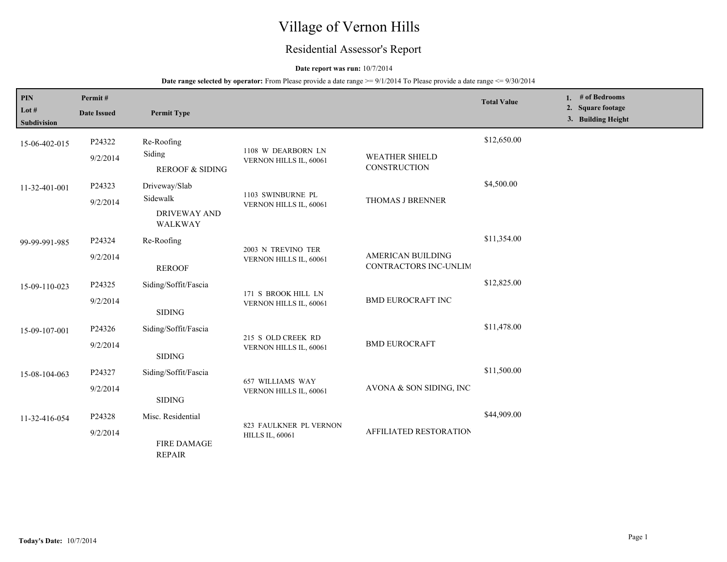# Village of Vernon Hills

# Residential Assessor's Report

### **Date report was run:** 10/7/2014

| $\mathbf{PIN}$<br>Lot $#$<br>Subdivision | Permit#<br><b>Date Issued</b> | <b>Permit Type</b>                                          |                                                  |                                            | <b>Total Value</b> | 1. # of Bedrooms<br>2. Square footage<br>3. Building Height |
|------------------------------------------|-------------------------------|-------------------------------------------------------------|--------------------------------------------------|--------------------------------------------|--------------------|-------------------------------------------------------------|
| 15-06-402-015                            | P24322<br>9/2/2014            | Re-Roofing<br>Siding<br><b>REROOF &amp; SIDING</b>          | 1108 W DEARBORN LN<br>VERNON HILLS IL, 60061     | <b>WEATHER SHIELD</b><br>CONSTRUCTION      | \$12,650.00        |                                                             |
| 11-32-401-001                            | P24323<br>9/2/2014            | Driveway/Slab<br>Sidewalk<br><b>DRIVEWAY AND</b><br>WALKWAY | 1103 SWINBURNE PL<br>VERNON HILLS IL, 60061      | THOMAS J BRENNER                           | \$4,500.00         |                                                             |
| 99-99-991-985                            | P24324<br>9/2/2014            | Re-Roofing<br><b>REROOF</b>                                 | 2003 N TREVINO TER<br>VERNON HILLS IL, 60061     | AMERICAN BUILDING<br>CONTRACTORS INC-UNLIM | \$11,354.00        |                                                             |
| 15-09-110-023                            | P24325<br>9/2/2014            | Siding/Soffit/Fascia<br><b>SIDING</b>                       | 171 S BROOK HILL LN<br>VERNON HILLS IL, 60061    | <b>BMD EUROCRAFT INC</b>                   | \$12,825.00        |                                                             |
| 15-09-107-001                            | P24326<br>9/2/2014            | Siding/Soffit/Fascia<br><b>SIDING</b>                       | 215 S OLD CREEK RD<br>VERNON HILLS IL, 60061     | <b>BMD EUROCRAFT</b>                       | \$11,478.00        |                                                             |
| 15-08-104-063                            | P24327<br>9/2/2014            | Siding/Soffit/Fascia<br><b>SIDING</b>                       | 657 WILLIAMS WAY<br>VERNON HILLS IL, 60061       | AVONA & SON SIDING, INC                    | \$11,500.00        |                                                             |
| 11-32-416-054                            | P24328<br>9/2/2014            | Misc. Residential<br>FIRE DAMAGE<br><b>REPAIR</b>           | 823 FAULKNER PL VERNON<br><b>HILLS IL, 60061</b> | AFFILIATED RESTORATION                     | \$44,909.00        |                                                             |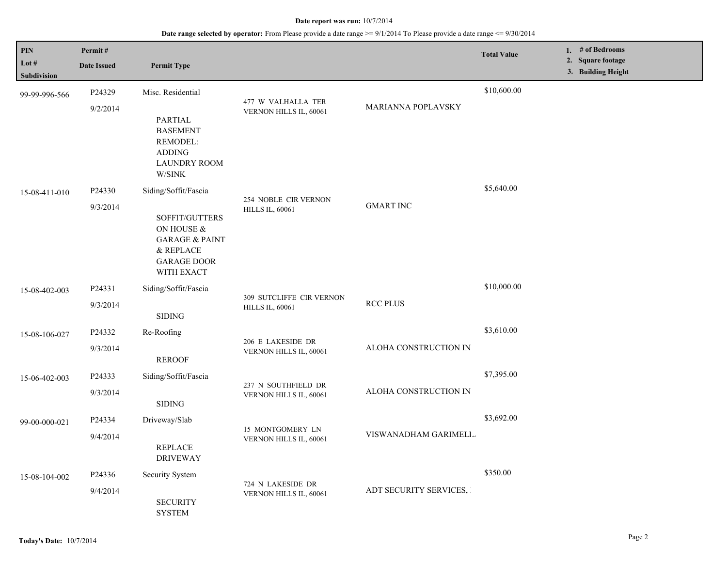## **Date range selected by operator:** From Please provide a date range >= 9/1/2014 To Please provide a date range <= 9/30/2014

| PIN<br>Lot #<br>Subdivision | Permit#<br><b>Date Issued</b> | <b>Permit Type</b>                                                                                            |                                                    |                        | <b>Total Value</b> | 1. # of Bedrooms<br>2. Square footage<br>3. Building Height |
|-----------------------------|-------------------------------|---------------------------------------------------------------------------------------------------------------|----------------------------------------------------|------------------------|--------------------|-------------------------------------------------------------|
| 99-99-996-566               | P24329<br>9/2/2014            | Misc. Residential                                                                                             | 477 W VALHALLA TER<br>VERNON HILLS IL, 60061       | MARIANNA POPLAVSKY     | \$10,600.00        |                                                             |
|                             |                               | <b>PARTIAL</b><br><b>BASEMENT</b><br>REMODEL:<br><b>ADDING</b><br><b>LAUNDRY ROOM</b><br>W/SINK               |                                                    |                        |                    |                                                             |
| 15-08-411-010               | P24330                        | Siding/Soffit/Fascia                                                                                          |                                                    |                        | \$5,640.00         |                                                             |
|                             | 9/3/2014                      | SOFFIT/GUTTERS<br>ON HOUSE &<br><b>GARAGE &amp; PAINT</b><br>$\&$ REPLACE<br><b>GARAGE DOOR</b><br>WITH EXACT | 254 NOBLE CIR VERNON<br><b>HILLS IL, 60061</b>     | <b>GMART INC</b>       |                    |                                                             |
| 15-08-402-003               | P24331                        | Siding/Soffit/Fascia                                                                                          |                                                    |                        | \$10,000.00        |                                                             |
|                             | 9/3/2014                      | <b>SIDING</b>                                                                                                 | 309 SUTCLIFFE CIR VERNON<br><b>HILLS IL, 60061</b> | <b>RCC PLUS</b>        |                    |                                                             |
| 15-08-106-027               | P24332                        | Re-Roofing                                                                                                    |                                                    |                        | \$3,610.00         |                                                             |
|                             | 9/3/2014                      | <b>REROOF</b>                                                                                                 | 206 E LAKESIDE DR<br>VERNON HILLS IL, 60061        | ALOHA CONSTRUCTION IN  |                    |                                                             |
| 15-06-402-003               | P24333                        | Siding/Soffit/Fascia                                                                                          |                                                    |                        | \$7,395.00         |                                                             |
|                             | 9/3/2014                      | <b>SIDING</b>                                                                                                 | 237 N SOUTHFIELD DR<br>VERNON HILLS IL, 60061      | ALOHA CONSTRUCTION IN  |                    |                                                             |
| 99-00-000-021               | P24334                        | Driveway/Slab                                                                                                 |                                                    |                        | \$3,692.00         |                                                             |
|                             | 9/4/2014                      | <b>REPLACE</b><br><b>DRIVEWAY</b>                                                                             | 15 MONTGOMERY LN<br>VERNON HILLS IL, 60061         | VISWANADHAM GARIMELL.  |                    |                                                             |
| 15-08-104-002               | P24336                        | Security System                                                                                               |                                                    |                        | \$350.00           |                                                             |
|                             | 9/4/2014                      | <b>SECURITY</b><br><b>SYSTEM</b>                                                                              | 724 N LAKESIDE DR<br>VERNON HILLS IL, 60061        | ADT SECURITY SERVICES, |                    |                                                             |

L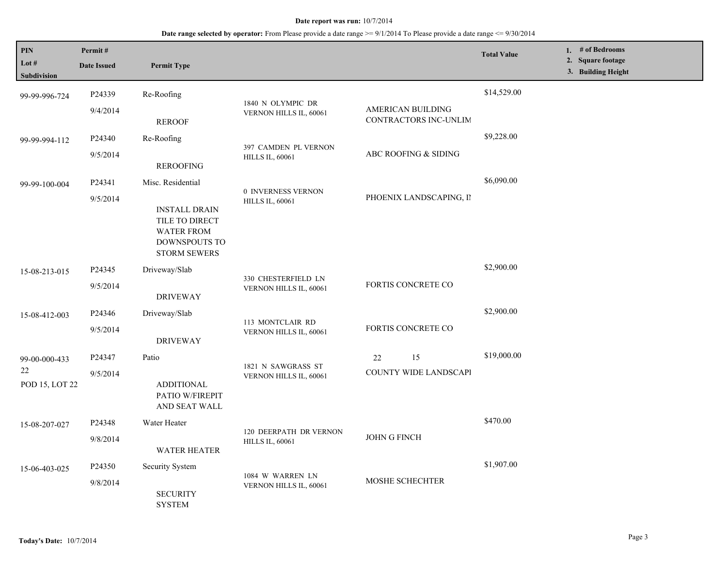| PIN<br>Lot #                          | Permit#            |                                                                                                                          |                                                |                                   | <b>Total Value</b> | 1. # of Bedrooms<br>2. Square footage |
|---------------------------------------|--------------------|--------------------------------------------------------------------------------------------------------------------------|------------------------------------------------|-----------------------------------|--------------------|---------------------------------------|
| Subdivision                           | <b>Date Issued</b> | <b>Permit Type</b>                                                                                                       |                                                |                                   |                    | 3. Building Height                    |
| 99-99-996-724                         | P24339<br>9/4/2014 | Re-Roofing                                                                                                               | 1840 N OLYMPIC DR<br>VERNON HILLS IL, 60061    | AMERICAN BUILDING                 | \$14,529.00        |                                       |
|                                       |                    | <b>REROOF</b>                                                                                                            |                                                | CONTRACTORS INC-UNLIM             |                    |                                       |
| 99-99-994-112                         | P24340             | Re-Roofing                                                                                                               |                                                |                                   | \$9,228.00         |                                       |
|                                       | 9/5/2014           | <b>REROOFING</b>                                                                                                         | 397 CAMDEN PL VERNON<br><b>HILLS IL, 60061</b> | ABC ROOFING & SIDING              |                    |                                       |
| 99-99-100-004                         | P24341<br>9/5/2014 | Misc. Residential<br><b>INSTALL DRAIN</b><br>TILE TO DIRECT<br><b>WATER FROM</b><br>DOWNSPOUTS TO<br><b>STORM SEWERS</b> | 0 INVERNESS VERNON<br><b>HILLS IL, 60061</b>   | PHOENIX LANDSCAPING, II           | \$6,090.00         |                                       |
| 15-08-213-015                         | P24345             | Driveway/Slab                                                                                                            |                                                |                                   | \$2,900.00         |                                       |
|                                       | 9/5/2014           | <b>DRIVEWAY</b>                                                                                                          | 330 CHESTERFIELD LN<br>VERNON HILLS IL, 60061  | FORTIS CONCRETE CO                |                    |                                       |
| 15-08-412-003                         | P24346<br>9/5/2014 | Driveway/Slab<br><b>DRIVEWAY</b>                                                                                         | 113 MONTCLAIR RD<br>VERNON HILLS IL, 60061     | FORTIS CONCRETE CO                | \$2,900.00         |                                       |
| 99-00-000-433<br>22<br>POD 15, LOT 22 | P24347<br>9/5/2014 | Patio<br><b>ADDITIONAL</b><br>PATIO W/FIREPIT<br>AND SEAT WALL                                                           | 1821 N SAWGRASS ST<br>VERNON HILLS IL, 60061   | 15<br>22<br>COUNTY WIDE LANDSCAPI | \$19,000.00        |                                       |
| 15-08-207-027                         | P24348             | Water Heater                                                                                                             | 120 DEERPATH DR VERNON                         | <b>JOHN G FINCH</b>               | \$470.00           |                                       |
|                                       | 9/8/2014           | <b>WATER HEATER</b>                                                                                                      | <b>HILLS IL, 60061</b>                         |                                   |                    |                                       |
| 15-06-403-025                         | P24350<br>9/8/2014 | Security System<br><b>SECURITY</b><br><b>SYSTEM</b>                                                                      | 1084 W WARREN LN<br>VERNON HILLS IL, 60061     | MOSHE SCHECHTER                   | \$1,907.00         |                                       |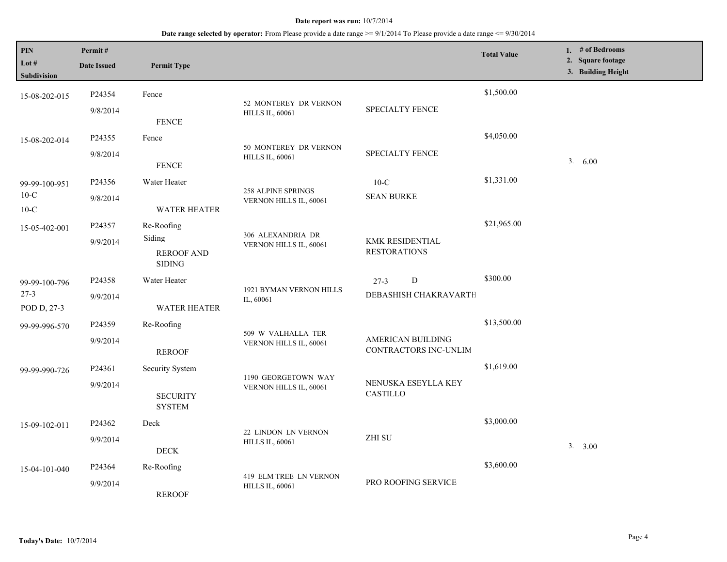| <b>PIN</b><br>Lot $#$<br><b>Subdivision</b>       | Permit#<br><b>Date Issued</b> | <b>Permit Type</b>                                         |                                                     |                                                   | <b>Total Value</b> | 1. $#$ of Bedrooms<br>2. Square footage<br>3. Building Height |
|---------------------------------------------------|-------------------------------|------------------------------------------------------------|-----------------------------------------------------|---------------------------------------------------|--------------------|---------------------------------------------------------------|
| 15-08-202-015                                     | P24354<br>9/8/2014            | Fence<br><b>FENCE</b>                                      | 52 MONTEREY DR VERNON<br><b>HILLS IL, 60061</b>     | SPECIALTY FENCE                                   | \$1,500.00         |                                                               |
| 15-08-202-014                                     | P24355<br>9/8/2014            | Fence<br><b>FENCE</b>                                      | 50 MONTEREY DR VERNON<br><b>HILLS IL, 60061</b>     | <b>SPECIALTY FENCE</b>                            | \$4,050.00         | 3. 6.00                                                       |
| 99-99-100-951<br>$10-C$<br>$10\text{-}\mathrm{C}$ | P24356<br>9/8/2014            | Water Heater<br><b>WATER HEATER</b>                        | <b>258 ALPINE SPRINGS</b><br>VERNON HILLS IL, 60061 | $10-C$<br><b>SEAN BURKE</b>                       | \$1,331.00         |                                                               |
| 15-05-402-001                                     | P24357<br>9/9/2014            | Re-Roofing<br>Siding<br><b>REROOF AND</b><br><b>SIDING</b> | 306 ALEXANDRIA DR<br>VERNON HILLS IL, 60061         | KMK RESIDENTIAL<br><b>RESTORATIONS</b>            | \$21,965.00        |                                                               |
| 99-99-100-796<br>$27 - 3$<br>POD D, 27-3          | P24358<br>9/9/2014            | Water Heater<br><b>WATER HEATER</b>                        | 1921 BYMAN VERNON HILLS<br>IL, 60061                | D<br>$27-3$<br>DEBASHISH CHAKRAVARTE              | \$300.00           |                                                               |
| 99-99-996-570                                     | P24359<br>9/9/2014            | Re-Roofing<br><b>REROOF</b>                                | 509 W VALHALLA TER<br>VERNON HILLS IL, 60061        | <b>AMERICAN BUILDING</b><br>CONTRACTORS INC-UNLIM | \$13,500.00        |                                                               |
| 99-99-990-726                                     | P24361<br>9/9/2014            | Security System<br><b>SECURITY</b><br><b>SYSTEM</b>        | 1190 GEORGETOWN WAY<br>VERNON HILLS IL, 60061       | NENUSKA ESEYLLA KEY<br>CASTILLO                   | \$1,619.00         |                                                               |
| 15-09-102-011                                     | P24362<br>9/9/2014            | Deck<br>$\rm{DECK}$                                        | 22 LINDON LN VERNON<br><b>HILLS IL, 60061</b>       | ZHI SU                                            | \$3,000.00         | 3. 3.00                                                       |
| 15-04-101-040                                     | P24364<br>9/9/2014            | Re-Roofing<br><b>REROOF</b>                                | 419 ELM TREE LN VERNON<br><b>HILLS IL, 60061</b>    | PRO ROOFING SERVICE                               | \$3,600.00         |                                                               |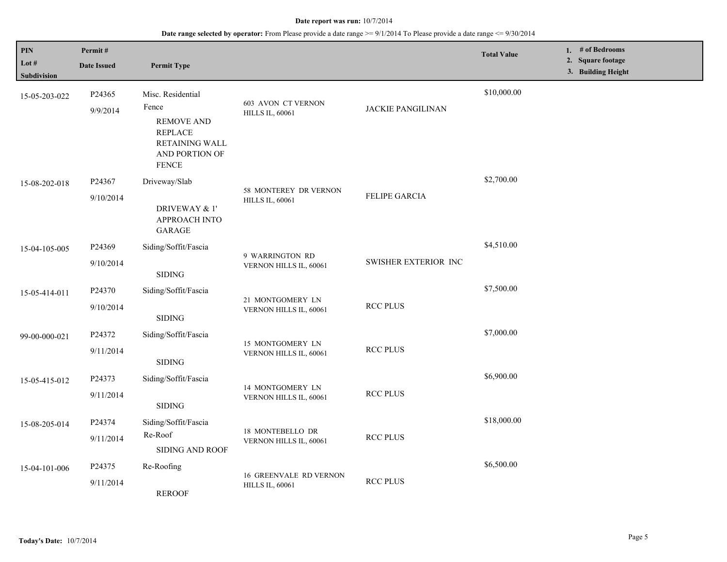| PIN<br>Lot #<br>Subdivision | Permit#<br><b>Date Issued</b> | <b>Permit Type</b>                                                                                                    |                                                         |                             | <b>Total Value</b> | 1. # of Bedrooms<br>2. Square footage<br>3. Building Height |
|-----------------------------|-------------------------------|-----------------------------------------------------------------------------------------------------------------------|---------------------------------------------------------|-----------------------------|--------------------|-------------------------------------------------------------|
| 15-05-203-022               | P24365<br>9/9/2014            | Misc. Residential<br>Fence<br><b>REMOVE AND</b><br><b>REPLACE</b><br>RETAINING WALL<br>AND PORTION OF<br><b>FENCE</b> | <b>603 AVON CT VERNON</b><br><b>HILLS IL, 60061</b>     | <b>JACKIE PANGILINAN</b>    | \$10,000.00        |                                                             |
| 15-08-202-018               | P24367<br>9/10/2014           | Driveway/Slab<br>DRIVEWAY & 1'<br><b>APPROACH INTO</b><br><b>GARAGE</b>                                               | 58 MONTEREY DR VERNON<br><b>HILLS IL, 60061</b>         | FELIPE GARCIA               | \$2,700.00         |                                                             |
| 15-04-105-005               | P24369<br>9/10/2014           | Siding/Soffit/Fascia<br><b>SIDING</b>                                                                                 | 9 WARRINGTON RD<br>VERNON HILLS IL, 60061               | <b>SWISHER EXTERIOR INC</b> | \$4,510.00         |                                                             |
| 15-05-414-011               | P24370<br>9/10/2014           | Siding/Soffit/Fascia<br><b>SIDING</b>                                                                                 | 21 MONTGOMERY LN<br>VERNON HILLS IL, 60061              | <b>RCC PLUS</b>             | \$7,500.00         |                                                             |
| 99-00-000-021               | P24372<br>9/11/2014           | Siding/Soffit/Fascia<br><b>SIDING</b>                                                                                 | 15 MONTGOMERY LN<br>VERNON HILLS IL, 60061              | <b>RCC PLUS</b>             | \$7,000.00         |                                                             |
| 15-05-415-012               | P24373<br>9/11/2014           | Siding/Soffit/Fascia<br><b>SIDING</b>                                                                                 | 14 MONTGOMERY LN<br>VERNON HILLS IL, 60061              | <b>RCC PLUS</b>             | \$6,900.00         |                                                             |
| 15-08-205-014               | P24374<br>9/11/2014           | Siding/Soffit/Fascia<br>Re-Roof<br>SIDING AND ROOF                                                                    | 18 MONTEBELLO DR<br>VERNON HILLS IL, 60061              | <b>RCC PLUS</b>             | \$18,000.00        |                                                             |
| 15-04-101-006               | P24375<br>9/11/2014           | Re-Roofing<br><b>REROOF</b>                                                                                           | <b>16 GREENVALE RD VERNON</b><br><b>HILLS IL, 60061</b> | <b>RCC PLUS</b>             | \$6,500.00         |                                                             |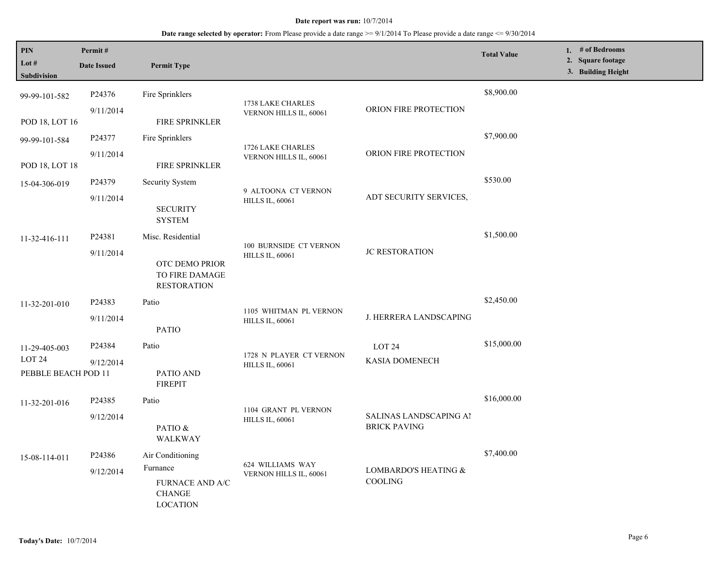| PIN<br>Lot $#$<br>Subdivision                             | Permit#<br><b>Date Issued</b>   | <b>Permit Type</b>                                                                  |                                                   |                                               | <b>Total Value</b> | 1. $#$ of Bedrooms<br>2. Square footage<br>3. Building Height |
|-----------------------------------------------------------|---------------------------------|-------------------------------------------------------------------------------------|---------------------------------------------------|-----------------------------------------------|--------------------|---------------------------------------------------------------|
| 99-99-101-582<br>POD 18, LOT 16                           | P24376<br>9/11/2014             | Fire Sprinklers<br>FIRE SPRINKLER                                                   | 1738 LAKE CHARLES<br>VERNON HILLS IL, 60061       | ORION FIRE PROTECTION                         | \$8,900.00         |                                                               |
| 99-99-101-584<br>POD 18, LOT 18                           | P24377<br>9/11/2014             | Fire Sprinklers<br><b>FIRE SPRINKLER</b>                                            | 1726 LAKE CHARLES<br>VERNON HILLS IL, 60061       | ORION FIRE PROTECTION                         | \$7,900.00         |                                                               |
| 15-04-306-019                                             | P <sub>24379</sub><br>9/11/2014 | Security System<br><b>SECURITY</b><br><b>SYSTEM</b>                                 | 9 ALTOONA CT VERNON<br><b>HILLS IL, 60061</b>     | ADT SECURITY SERVICES,                        | \$530.00           |                                                               |
| 11-32-416-111                                             | P24381<br>9/11/2014             | Misc. Residential<br>OTC DEMO PRIOR<br>TO FIRE DAMAGE<br><b>RESTORATION</b>         | 100 BURNSIDE CT VERNON<br><b>HILLS IL, 60061</b>  | <b>JC RESTORATION</b>                         | \$1,500.00         |                                                               |
| 11-32-201-010                                             | P24383<br>9/11/2014             | Patio<br><b>PATIO</b>                                                               | 1105 WHITMAN PL VERNON<br><b>HILLS IL, 60061</b>  | J. HERRERA LANDSCAPING                        | \$2,450.00         |                                                               |
| 11-29-405-003<br>LOT <sub>24</sub><br>PEBBLE BEACH POD 11 | P24384<br>9/12/2014             | Patio<br>PATIO AND<br><b>FIREPIT</b>                                                | 1728 N PLAYER CT VERNON<br><b>HILLS IL, 60061</b> | LOT <sub>24</sub><br>KASIA DOMENECH           | \$15,000.00        |                                                               |
| 11-32-201-016                                             | P24385<br>9/12/2014             | Patio<br>PATIO &<br>WALKWAY                                                         | 1104 GRANT PL VERNON<br><b>HILLS IL, 60061</b>    | SALINAS LANDSCAPING AI<br><b>BRICK PAVING</b> | \$16,000.00        |                                                               |
| 15-08-114-011                                             | P24386<br>9/12/2014             | Air Conditioning<br>Furnance<br>FURNACE AND A/C<br><b>CHANGE</b><br><b>LOCATION</b> | 624 WILLIAMS WAY<br>VERNON HILLS IL, 60061        | LOMBARDO'S HEATING &<br><b>COOLING</b>        | \$7,400.00         |                                                               |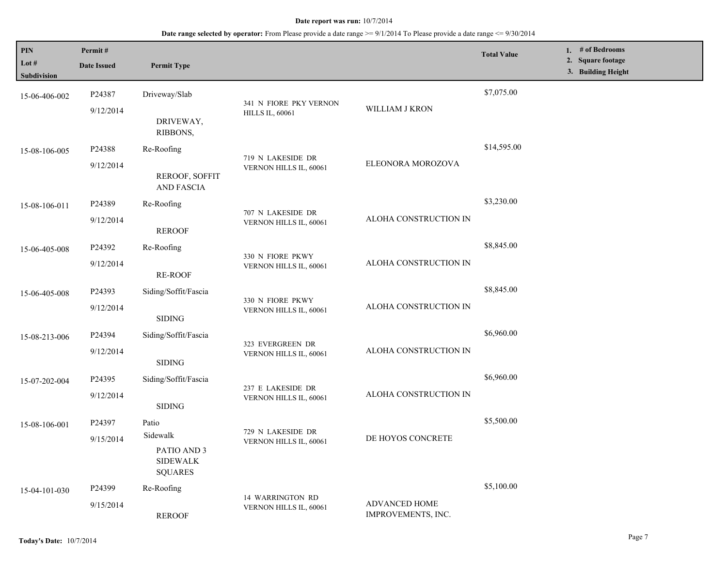| PIN<br>Lot $#$<br>Subdivision | Permit#<br><b>Date Issued</b>   | <b>Permit Type</b>                                                    |                                                  |                                     | <b>Total Value</b> | 1. # of Bedrooms<br>2. Square footage<br>3. Building Height |
|-------------------------------|---------------------------------|-----------------------------------------------------------------------|--------------------------------------------------|-------------------------------------|--------------------|-------------------------------------------------------------|
| 15-06-406-002                 | P24387<br>9/12/2014             | Driveway/Slab<br>DRIVEWAY,<br>RIBBONS,                                | 341 N FIORE PKY VERNON<br><b>HILLS IL, 60061</b> | WILLIAM J KRON                      | \$7,075.00         |                                                             |
| 15-08-106-005                 | P24388<br>9/12/2014             | Re-Roofing<br><b>REROOF, SOFFIT</b><br><b>AND FASCIA</b>              | 719 N LAKESIDE DR<br>VERNON HILLS IL, 60061      | ELEONORA MOROZOVA                   | \$14,595.00        |                                                             |
| 15-08-106-011                 | P24389<br>9/12/2014             | Re-Roofing<br><b>REROOF</b>                                           | 707 N LAKESIDE DR<br>VERNON HILLS IL, 60061      | ALOHA CONSTRUCTION IN               | \$3,230.00         |                                                             |
| 15-06-405-008                 | P24392<br>9/12/2014             | Re-Roofing<br><b>RE-ROOF</b>                                          | 330 N FIORE PKWY<br>VERNON HILLS IL, 60061       | ALOHA CONSTRUCTION IN               | \$8,845.00         |                                                             |
| 15-06-405-008                 | P24393<br>9/12/2014             | Siding/Soffit/Fascia<br><b>SIDING</b>                                 | 330 N FIORE PKWY<br>VERNON HILLS IL, 60061       | ALOHA CONSTRUCTION IN               | \$8,845.00         |                                                             |
| 15-08-213-006                 | P24394<br>9/12/2014             | Siding/Soffit/Fascia<br><b>SIDING</b>                                 | 323 EVERGREEN DR<br>VERNON HILLS IL, 60061       | ALOHA CONSTRUCTION IN               | \$6,960.00         |                                                             |
| 15-07-202-004                 | P24395<br>9/12/2014             | Siding/Soffit/Fascia<br><b>SIDING</b>                                 | 237 E LAKESIDE DR<br>VERNON HILLS IL, 60061      | ALOHA CONSTRUCTION IN               | \$6,960.00         |                                                             |
| 15-08-106-001                 | P24397<br>9/15/2014             | Patio<br>Sidewalk<br>PATIO AND 3<br><b>SIDEWALK</b><br><b>SQUARES</b> | 729 N LAKESIDE DR<br>VERNON HILLS IL, 60061      | DE HOYOS CONCRETE                   | \$5,500.00         |                                                             |
| 15-04-101-030                 | P <sub>24399</sub><br>9/15/2014 | Re-Roofing<br><b>REROOF</b>                                           | 14 WARRINGTON RD<br>VERNON HILLS IL, 60061       | ADVANCED HOME<br>IMPROVEMENTS, INC. | \$5,100.00         |                                                             |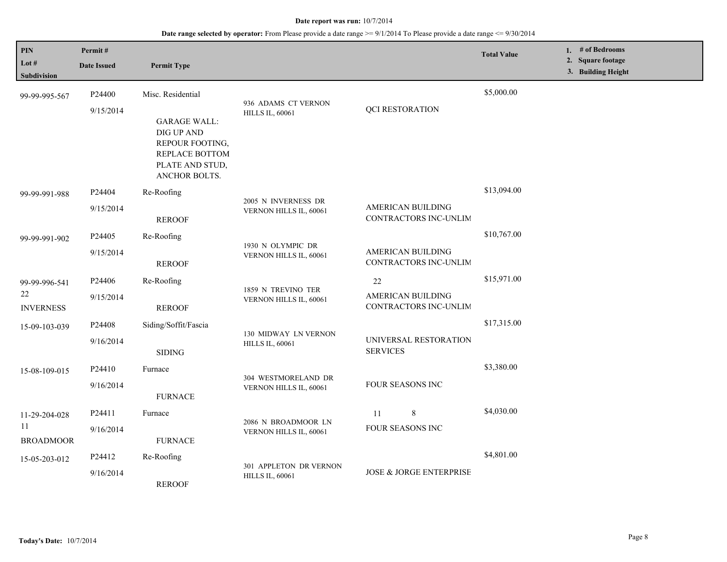## **Date range selected by operator:** From Please provide a date range >= 9/1/2014 To Please provide a date range <= 9/30/2014

| PIN<br>Lot $#$<br><b>Subdivision</b> | Permit#<br><b>Date Issued</b> | <b>Permit Type</b>                                                                                         |                                                  |                                                   | <b>Total Value</b> | 1. # of Bedrooms<br>2. Square footage<br>3. Building Height |
|--------------------------------------|-------------------------------|------------------------------------------------------------------------------------------------------------|--------------------------------------------------|---------------------------------------------------|--------------------|-------------------------------------------------------------|
| 99-99-995-567                        | P24400                        | Misc. Residential                                                                                          | 936 ADAMS CT VERNON                              |                                                   | \$5,000.00         |                                                             |
|                                      | 9/15/2014                     | <b>GARAGE WALL:</b><br>DIG UP AND<br>REPOUR FOOTING,<br>REPLACE BOTTOM<br>PLATE AND STUD,<br>ANCHOR BOLTS. | <b>HILLS IL, 60061</b>                           | <b>QCI RESTORATION</b>                            |                    |                                                             |
| 99-99-991-988                        | P24404<br>9/15/2014           | Re-Roofing<br><b>REROOF</b>                                                                                | 2005 N INVERNESS DR<br>VERNON HILLS IL, 60061    | <b>AMERICAN BUILDING</b><br>CONTRACTORS INC-UNLIM | \$13,094.00        |                                                             |
| 99-99-991-902                        | P24405                        | Re-Roofing                                                                                                 |                                                  |                                                   | \$10,767.00        |                                                             |
|                                      | 9/15/2014                     | <b>REROOF</b>                                                                                              | 1930 N OLYMPIC DR<br>VERNON HILLS IL, 60061      | AMERICAN BUILDING<br>CONTRACTORS INC-UNLIM        |                    |                                                             |
| 99-99-996-541                        | P24406                        | Re-Roofing                                                                                                 | 1859 N TREVINO TER                               | 22                                                | \$15,971.00        |                                                             |
| 22<br><b>INVERNESS</b>               | 9/15/2014                     | <b>REROOF</b>                                                                                              | VERNON HILLS IL, 60061                           | <b>AMERICAN BUILDING</b><br>CONTRACTORS INC-UNLIM |                    |                                                             |
| 15-09-103-039                        | P24408                        | Siding/Soffit/Fascia                                                                                       | 130 MIDWAY LN VERNON                             |                                                   | \$17,315.00        |                                                             |
|                                      | 9/16/2014                     | <b>SIDING</b>                                                                                              | <b>HILLS IL, 60061</b>                           | UNIVERSAL RESTORATION<br><b>SERVICES</b>          |                    |                                                             |
| 15-08-109-015                        | P24410                        | Furnace                                                                                                    | 304 WESTMORELAND DR                              |                                                   | \$3,380.00         |                                                             |
|                                      | 9/16/2014                     | <b>FURNACE</b>                                                                                             | VERNON HILLS IL, 60061                           | FOUR SEASONS INC                                  |                    |                                                             |
| 11-29-204-028                        | P24411                        | Furnace                                                                                                    | 2086 N BROADMOOR LN                              | $\,8\,$<br>11                                     | \$4,030.00         |                                                             |
| 11<br><b>BROADMOOR</b>               | 9/16/2014                     | <b>FURNACE</b>                                                                                             | VERNON HILLS IL, 60061                           | FOUR SEASONS INC                                  |                    |                                                             |
| 15-05-203-012                        | P24412                        | Re-Roofing                                                                                                 |                                                  |                                                   | \$4,801.00         |                                                             |
|                                      | 9/16/2014                     | <b>REROOF</b>                                                                                              | 301 APPLETON DR VERNON<br><b>HILLS IL, 60061</b> | <b>JOSE &amp; JORGE ENTERPRISE</b>                |                    |                                                             |

L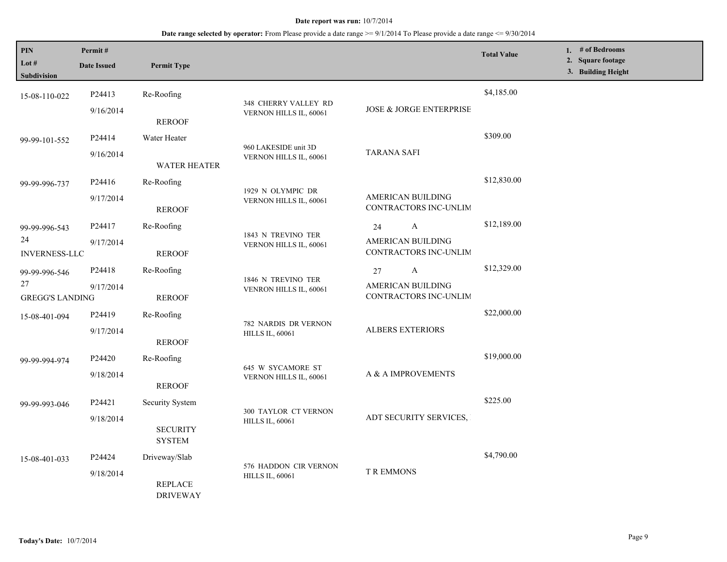| PIN<br>Lot #<br>Subdivision | Permit#<br><b>Date Issued</b>                                                                     | <b>Permit Type</b>                           |                                                       |                                                   | <b>Total Value</b> | 1. # of Bedrooms<br>2. Square footage<br>3. Building Height |
|-----------------------------|---------------------------------------------------------------------------------------------------|----------------------------------------------|-------------------------------------------------------|---------------------------------------------------|--------------------|-------------------------------------------------------------|
| 15-08-110-022               | P24413                                                                                            | Re-Roofing                                   |                                                       |                                                   | \$4,185.00         |                                                             |
|                             | 9/16/2014                                                                                         | <b>REROOF</b>                                | 348 CHERRY VALLEY RD<br>VERNON HILLS IL, 60061        | JOSE & JORGE ENTERPRISE                           |                    |                                                             |
| 99-99-101-552               | P24414                                                                                            | Water Heater                                 |                                                       |                                                   | \$309.00           |                                                             |
|                             | 9/16/2014                                                                                         | <b>WATER HEATER</b>                          | 960 LAKESIDE unit 3D<br>VERNON HILLS IL, 60061        | <b>TARANA SAFI</b>                                |                    |                                                             |
| 99-99-996-737               | P24416                                                                                            | Re-Roofing                                   | 1929 N OLYMPIC DR<br>VERNON HILLS IL, 60061           |                                                   | \$12,830.00        |                                                             |
|                             | 9/17/2014                                                                                         | <b>REROOF</b>                                |                                                       | <b>AMERICAN BUILDING</b><br>CONTRACTORS INC-UNLIM |                    |                                                             |
| 99-99-996-543               | P24417                                                                                            | Re-Roofing                                   |                                                       | A<br>24                                           | \$12,189.00        |                                                             |
| 24<br><b>INVERNESS-LLC</b>  | 9/17/2014                                                                                         | <b>REROOF</b>                                | 1843 N TREVINO TER<br>VERNON HILLS IL, 60061          | <b>AMERICAN BUILDING</b><br>CONTRACTORS INC-UNLIM |                    |                                                             |
| 99-99-996-546               | P24418                                                                                            | Re-Roofing                                   |                                                       | 27<br>A                                           | \$12,329.00        |                                                             |
| 27                          | 9/17/2014<br><b>GREGG'S LANDING</b><br><b>REROOF</b>                                              | 1846 N TREVINO TER<br>VENRON HILLS IL, 60061 | <b>AMERICAN BUILDING</b><br>CONTRACTORS INC-UNLIM     |                                                   |                    |                                                             |
| 15-08-401-094               | P24419                                                                                            | Re-Roofing                                   |                                                       | <b>ALBERS EXTERIORS</b>                           | \$22,000.00        |                                                             |
|                             | 9/17/2014                                                                                         | <b>REROOF</b>                                | 782 NARDIS DR VERNON<br><b>HILLS IL, 60061</b>        |                                                   |                    |                                                             |
| 99-99-994-974               | P24420                                                                                            | Re-Roofing                                   |                                                       |                                                   | \$19,000.00        |                                                             |
|                             | 9/18/2014                                                                                         | <b>REROOF</b>                                | 645 W SYCAMORE ST<br>VERNON HILLS IL, 60061           | A & A IMPROVEMENTS                                |                    |                                                             |
| 99-99-993-046               | P24421                                                                                            | <b>Security System</b>                       |                                                       |                                                   | \$225.00           |                                                             |
|                             | 9/18/2014                                                                                         | <b>SECURITY</b><br><b>SYSTEM</b>             | <b>300 TAYLOR CT VERNON</b><br><b>HILLS IL, 60061</b> | ADT SECURITY SERVICES,                            |                    |                                                             |
| 15-08-401-033               | P24424                                                                                            | Driveway/Slab                                |                                                       |                                                   | \$4,790.00         |                                                             |
|                             | 576 HADDON CIR VERNON<br>9/18/2014<br><b>HILLS IL, 60061</b><br><b>REPLACE</b><br><b>DRIVEWAY</b> |                                              | <b>T R EMMONS</b>                                     |                                                   |                    |                                                             |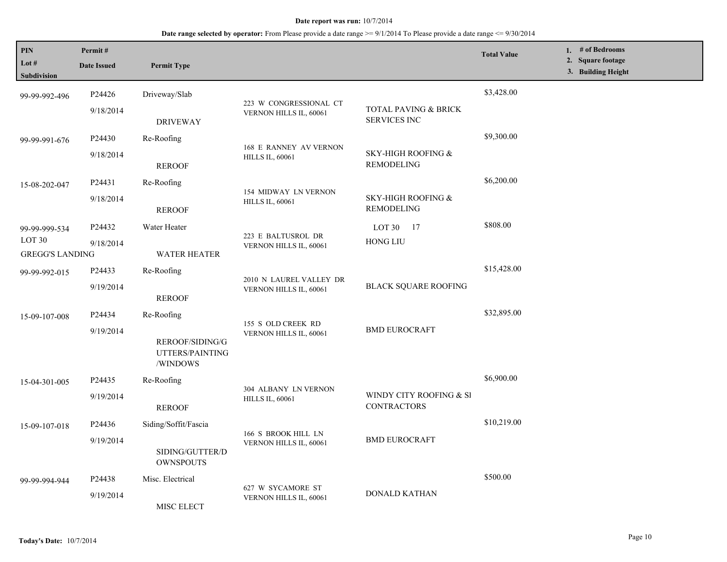| PIN<br>Lot #<br>Subdivision                              | Permit#<br><b>Date Issued</b> | <b>Permit Type</b>                             |                                                   |                                                    | <b>Total Value</b> | 1. # of Bedrooms<br>2. Square footage<br>3. Building Height |
|----------------------------------------------------------|-------------------------------|------------------------------------------------|---------------------------------------------------|----------------------------------------------------|--------------------|-------------------------------------------------------------|
| 99-99-992-496                                            | P24426                        | Driveway/Slab                                  |                                                   |                                                    | \$3,428.00         |                                                             |
|                                                          | 9/18/2014                     | <b>DRIVEWAY</b>                                | 223 W CONGRESSIONAL CT<br>VERNON HILLS IL, 60061  | TOTAL PAVING & BRICK<br><b>SERVICES INC</b>        |                    |                                                             |
| 99-99-991-676                                            | P24430                        | Re-Roofing                                     | 168 E RANNEY AV VERNON                            |                                                    | \$9,300.00         |                                                             |
|                                                          | 9/18/2014                     | <b>REROOF</b>                                  | <b>HILLS IL, 60061</b>                            | <b>SKY-HIGH ROOFING &amp;</b><br><b>REMODELING</b> |                    |                                                             |
| 15-08-202-047                                            | P24431                        | Re-Roofing                                     |                                                   |                                                    | \$6,200.00         |                                                             |
|                                                          | 9/18/2014                     | <b>REROOF</b>                                  | 154 MIDWAY LN VERNON<br><b>HILLS IL, 60061</b>    | SKY-HIGH ROOFING &<br><b>REMODELING</b>            |                    |                                                             |
| 99-99-999-534                                            | P24432                        | Water Heater                                   | 223 E BALTUSROL DR                                | LOT 30<br>- 17                                     | \$808.00           |                                                             |
| LOT <sub>30</sub><br>9/18/2014<br><b>GREGG'S LANDING</b> |                               | <b>WATER HEATER</b>                            | VERNON HILLS IL, 60061                            | <b>HONG LIU</b>                                    |                    |                                                             |
| 99-99-992-015                                            | P24433                        | Re-Roofing                                     |                                                   |                                                    | \$15,428.00        |                                                             |
|                                                          | 9/19/2014                     | <b>REROOF</b>                                  | 2010 N LAUREL VALLEY DR<br>VERNON HILLS IL, 60061 | <b>BLACK SQUARE ROOFING</b>                        |                    |                                                             |
| 15-09-107-008                                            | P24434                        | Re-Roofing                                     | 155 S OLD CREEK RD<br>VERNON HILLS IL, 60061      | <b>BMD EUROCRAFT</b>                               | \$32,895.00        |                                                             |
|                                                          | 9/19/2014                     | REROOF/SIDING/G<br>UTTERS/PAINTING<br>/WINDOWS |                                                   |                                                    |                    |                                                             |
| 15-04-301-005                                            | P <sub>24435</sub>            | Re-Roofing                                     |                                                   |                                                    | \$6,900.00         |                                                             |
|                                                          | 9/19/2014                     | <b>REROOF</b>                                  | 304 ALBANY LN VERNON<br><b>HILLS IL, 60061</b>    | WINDY CITY ROOFING & SI<br><b>CONTRACTORS</b>      |                    |                                                             |
| 15-09-107-018                                            | P24436                        | Siding/Soffit/Fascia                           |                                                   |                                                    | \$10,219.00        |                                                             |
|                                                          | 9/19/2014                     | SIDING/GUTTER/D<br><b>OWNSPOUTS</b>            | 166 S BROOK HILL LN<br>VERNON HILLS IL, 60061     | <b>BMD EUROCRAFT</b>                               |                    |                                                             |
| 99-99-994-944                                            | P24438                        | Misc. Electrical                               |                                                   | DONALD KATHAN                                      | \$500.00           |                                                             |
|                                                          | 9/19/2014                     | MISC ELECT                                     | 627 W SYCAMORE ST<br>VERNON HILLS IL, 60061       |                                                    |                    |                                                             |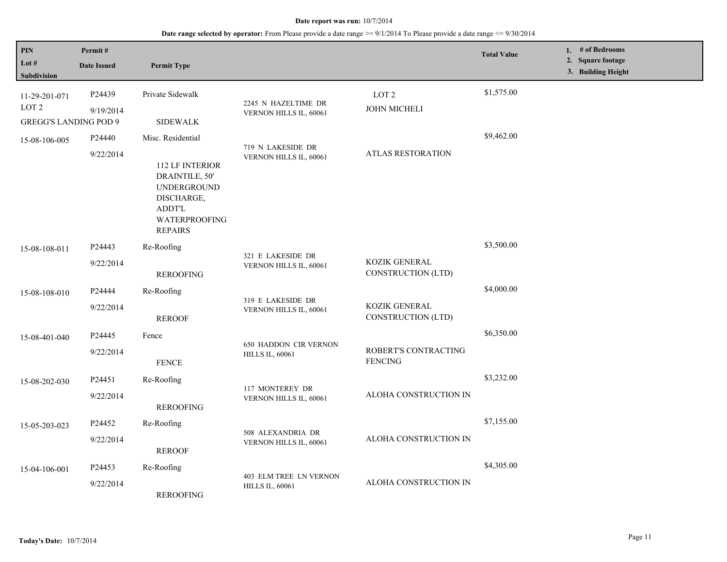| PIN<br>Lot #<br><b>Subdivision</b>                                | Permit#<br><b>Date Issued</b> | <b>Permit Type</b>                                                                                                                                    |                                                        |                                         | <b>Total Value</b> | 1. # of Bedrooms<br>2. Square footage<br>3. Building Height |  |
|-------------------------------------------------------------------|-------------------------------|-------------------------------------------------------------------------------------------------------------------------------------------------------|--------------------------------------------------------|-----------------------------------------|--------------------|-------------------------------------------------------------|--|
| 11-29-201-071<br>LOT <sub>2</sub><br><b>GREGG'S LANDING POD 9</b> | P24439<br>9/19/2014           | Private Sidewalk<br><b>SIDEWALK</b>                                                                                                                   | 2245 N HAZELTIME DR<br>VERNON HILLS IL, 60061          | LOT <sub>2</sub><br><b>JOHN MICHELI</b> | \$1,575.00         |                                                             |  |
| 15-08-106-005                                                     | P24440<br>9/22/2014           | Misc. Residential<br><b>112 LF INTERIOR</b><br>DRAINTILE, 50'<br><b>UNDERGROUND</b><br>DISCHARGE,<br><b>ADDT'L</b><br>WATERPROOFING<br><b>REPAIRS</b> | 719 N LAKESIDE DR<br>VERNON HILLS IL, 60061            | <b>ATLAS RESTORATION</b>                | \$9,462.00         |                                                             |  |
| 15-08-108-011                                                     | P24443<br>9/22/2014           | Re-Roofing<br><b>REROOFING</b>                                                                                                                        | 321 E LAKESIDE DR<br>VERNON HILLS IL, 60061            | KOZIK GENERAL<br>CONSTRUCTION (LTD)     | \$3,500.00         |                                                             |  |
| 15-08-108-010                                                     | P24444<br>9/22/2014           | Re-Roofing<br><b>REROOF</b>                                                                                                                           | 319 E LAKESIDE DR<br>VERNON HILLS IL, 60061            | KOZIK GENERAL<br>CONSTRUCTION (LTD)     | \$4,000.00         |                                                             |  |
| 15-08-401-040                                                     | P24445<br>9/22/2014           | Fence<br><b>FENCE</b>                                                                                                                                 | <b>650 HADDON CIR VERNON</b><br><b>HILLS IL, 60061</b> | ROBERT'S CONTRACTING<br><b>FENCING</b>  | \$6,350.00         |                                                             |  |
| 15-08-202-030                                                     | P24451<br>9/22/2014           | Re-Roofing<br><b>REROOFING</b>                                                                                                                        | 117 MONTEREY DR<br>VERNON HILLS IL, 60061              | ALOHA CONSTRUCTION IN                   | \$3,232.00         |                                                             |  |
| 15-05-203-023                                                     | P24452<br>9/22/2014           | Re-Roofing<br><b>REROOF</b>                                                                                                                           | 508 ALEXANDRIA DR<br>VERNON HILLS IL, 60061            | ALOHA CONSTRUCTION IN                   | \$7,155.00         |                                                             |  |
| 15-04-106-001                                                     | P24453<br>9/22/2014           | Re-Roofing<br><b>REROOFING</b>                                                                                                                        | 403 ELM TREE LN VERNON<br><b>HILLS IL, 60061</b>       | ALOHA CONSTRUCTION IN                   | \$4,305.00         |                                                             |  |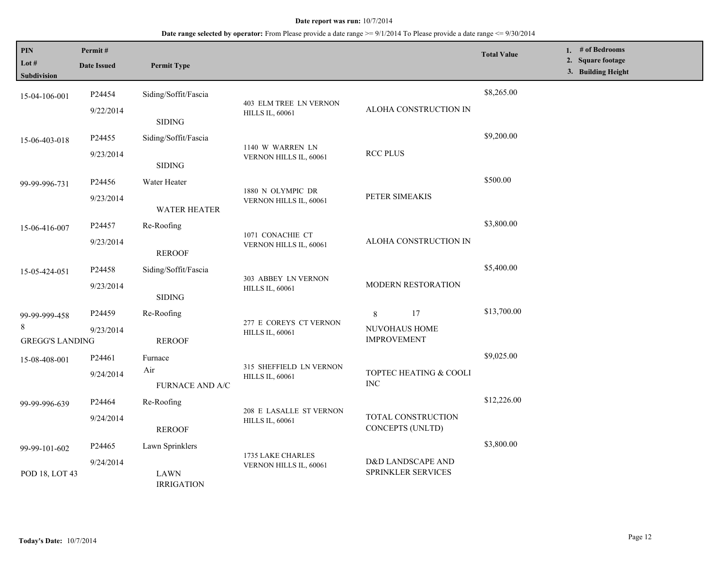| PIN<br>Lot #<br>Subdivision                  | Permit#<br><b>Date Issued</b>   | <b>Permit Type</b>                    |                                                         |                                                | <b>Total Value</b> | 1. $#$ of Bedrooms<br>2. Square footage<br>3. Building Height |
|----------------------------------------------|---------------------------------|---------------------------------------|---------------------------------------------------------|------------------------------------------------|--------------------|---------------------------------------------------------------|
| 15-04-106-001                                | P24454<br>9/22/2014             | Siding/Soffit/Fascia<br><b>SIDING</b> | <b>403 ELM TREE LN VERNON</b><br><b>HILLS IL, 60061</b> | ALOHA CONSTRUCTION IN                          | \$8,265.00         |                                                               |
| 15-06-403-018                                | P <sub>24455</sub><br>9/23/2014 | Siding/Soffit/Fascia<br><b>SIDING</b> | 1140 W WARREN LN<br>VERNON HILLS IL, 60061              | <b>RCC PLUS</b>                                | \$9,200.00         |                                                               |
| 99-99-996-731                                | P24456<br>9/23/2014             | Water Heater<br><b>WATER HEATER</b>   | 1880 N OLYMPIC DR<br>VERNON HILLS IL, 60061             | PETER SIMEAKIS                                 | \$500.00           |                                                               |
| 15-06-416-007                                | P24457<br>9/23/2014             | Re-Roofing<br><b>REROOF</b>           | 1071 CONACHIE CT<br>VERNON HILLS IL, 60061              | ALOHA CONSTRUCTION IN                          | \$3,800.00         |                                                               |
| 15-05-424-051                                | P24458<br>9/23/2014             | Siding/Soffit/Fascia<br><b>SIDING</b> | 303 ABBEY LN VERNON<br><b>HILLS IL, 60061</b>           | MODERN RESTORATION                             | \$5,400.00         |                                                               |
| 99-99-999-458<br>8<br><b>GREGG'S LANDING</b> | P <sub>24459</sub><br>9/23/2014 | Re-Roofing<br><b>REROOF</b>           | 277 E COREYS CT VERNON<br><b>HILLS IL, 60061</b>        | 17<br>8<br>NUVOHAUS HOME<br><b>IMPROVEMENT</b> | \$13,700.00        |                                                               |
| 15-08-408-001                                | P24461<br>9/24/2014             | Furnace<br>Air<br>FURNACE AND A/C     | 315 SHEFFIELD LN VERNON<br><b>HILLS IL, 60061</b>       | TOPTEC HEATING & COOLI<br><b>INC</b>           | \$9,025.00         |                                                               |
| 99-99-996-639                                | P24464<br>9/24/2014             | Re-Roofing<br><b>REROOF</b>           | 208 E LASALLE ST VERNON<br><b>HILLS IL, 60061</b>       | TOTAL CONSTRUCTION<br>CONCEPTS (UNLTD)         | \$12,226.00        |                                                               |
| 99-99-101-602                                | P24465<br>9/24/2014             | Lawn Sprinklers                       | 1735 LAKE CHARLES<br>VERNON HILLS IL, 60061             | D&D LANDSCAPE AND<br>SPRINKLER SERVICES        | \$3,800.00         |                                                               |
| POD 18, LOT 43                               |                                 | <b>LAWN</b><br><b>IRRIGATION</b>      |                                                         |                                                |                    |                                                               |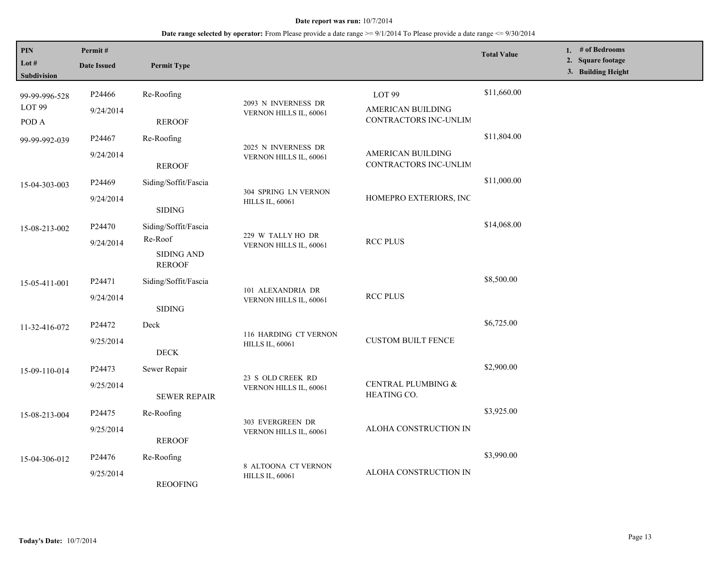| PIN<br>Lot #<br>Subdivision                 | Permit#<br><b>Date Issued</b>   | <b>Permit Type</b>                                             |                                                 |                                                                 | <b>Total Value</b> | 1. # of Bedrooms<br>2. Square footage<br>3. Building Height |
|---------------------------------------------|---------------------------------|----------------------------------------------------------------|-------------------------------------------------|-----------------------------------------------------------------|--------------------|-------------------------------------------------------------|
| 99-99-996-528<br>LOT <sub>99</sub><br>POD A | P24466<br>9/24/2014             | Re-Roofing<br><b>REROOF</b>                                    | 2093 N INVERNESS DR<br>VERNON HILLS IL, 60061   | LOT <sub>99</sub><br>AMERICAN BUILDING<br>CONTRACTORS INC-UNLIM | \$11,660.00        |                                                             |
| 99-99-992-039                               | P24467<br>9/24/2014             | Re-Roofing<br><b>REROOF</b>                                    | 2025 N INVERNESS DR<br>VERNON HILLS IL, 60061   | AMERICAN BUILDING<br>CONTRACTORS INC-UNLIM                      | \$11,804.00        |                                                             |
| 15-04-303-003                               | P <sub>24469</sub><br>9/24/2014 | Siding/Soffit/Fascia<br><b>SIDING</b>                          | 304 SPRING LN VERNON<br><b>HILLS IL, 60061</b>  | HOMEPRO EXTERIORS, INC                                          | \$11,000.00        |                                                             |
| 15-08-213-002                               | P24470<br>9/24/2014             | Siding/Soffit/Fascia<br>Re-Roof<br>SIDING AND<br><b>REROOF</b> | 229 W TALLY HO DR<br>VERNON HILLS IL, 60061     | <b>RCC PLUS</b>                                                 | \$14,068.00        |                                                             |
| 15-05-411-001                               | P24471<br>9/24/2014             | Siding/Soffit/Fascia<br><b>SIDING</b>                          | 101 ALEXANDRIA DR<br>VERNON HILLS IL, 60061     | <b>RCC PLUS</b>                                                 | \$8,500.00         |                                                             |
| 11-32-416-072                               | P24472<br>9/25/2014             | Deck<br><b>DECK</b>                                            | 116 HARDING CT VERNON<br><b>HILLS IL, 60061</b> | <b>CUSTOM BUILT FENCE</b>                                       | \$6,725.00         |                                                             |
| 15-09-110-014                               | P24473<br>9/25/2014             | Sewer Repair<br><b>SEWER REPAIR</b>                            | 23 S OLD CREEK RD<br>VERNON HILLS IL, 60061     | CENTRAL PLUMBING &<br>HEATING CO.                               | \$2,900.00         |                                                             |
| 15-08-213-004                               | P24475<br>9/25/2014             | Re-Roofing<br><b>REROOF</b>                                    | 303 EVERGREEN DR<br>VERNON HILLS IL, 60061      | ALOHA CONSTRUCTION IN                                           | \$3,925.00         |                                                             |
| 15-04-306-012                               | P24476<br>9/25/2014             | Re-Roofing<br><b>REOOFING</b>                                  | 8 ALTOONA CT VERNON<br><b>HILLS IL, 60061</b>   | ALOHA CONSTRUCTION IN                                           | \$3,990.00         |                                                             |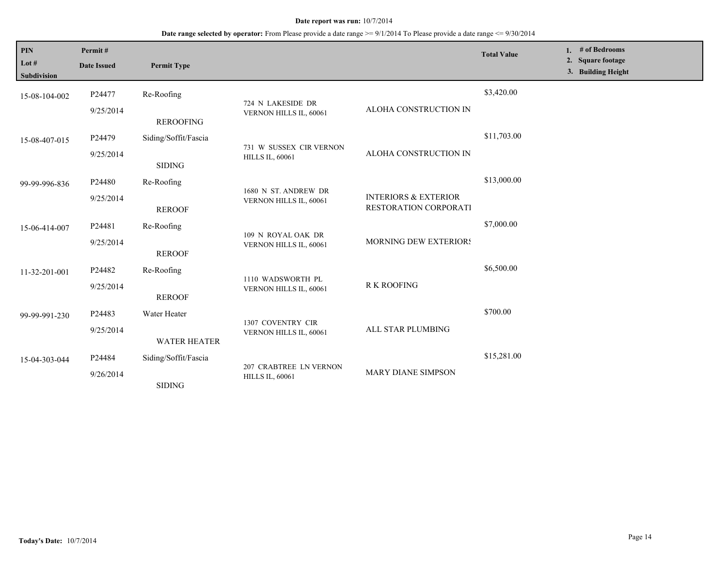| PIN<br>Lot #<br><b>Subdivision</b> | Permit#<br><b>Date Issued</b> | <b>Permit Type</b>   |                                                   |                                                          | <b>Total Value</b> | # of Bedrooms<br>1.<br>2. Square footage<br>3. Building Height |
|------------------------------------|-------------------------------|----------------------|---------------------------------------------------|----------------------------------------------------------|--------------------|----------------------------------------------------------------|
| 15-08-104-002                      | P24477                        | Re-Roofing           | 724 N LAKESIDE DR<br>VERNON HILLS IL, 60061       | ALOHA CONSTRUCTION IN                                    | \$3,420.00         |                                                                |
|                                    | 9/25/2014                     | <b>REROOFING</b>     |                                                   |                                                          |                    |                                                                |
| 15-08-407-015                      | P24479                        | Siding/Soffit/Fascia | 731 W SUSSEX CIR VERNON<br><b>HILLS IL, 60061</b> | ALOHA CONSTRUCTION IN                                    | \$11,703.00        |                                                                |
|                                    | 9/25/2014                     | <b>SIDING</b>        |                                                   |                                                          |                    |                                                                |
| 99-99-996-836                      | P24480                        | Re-Roofing           | 1680 N ST. ANDREW DR<br>VERNON HILLS IL, 60061    | <b>INTERIORS &amp; EXTERIOR</b><br>RESTORATION CORPORATI | \$13,000.00        |                                                                |
|                                    | 9/25/2014                     | <b>REROOF</b>        |                                                   |                                                          |                    |                                                                |
| 15-06-414-007                      | P24481                        | Re-Roofing           | 109 N ROYAL OAK DR<br>VERNON HILLS IL, 60061      | MORNING DEW EXTERIORS                                    | \$7,000.00         |                                                                |
|                                    | 9/25/2014                     | <b>REROOF</b>        |                                                   |                                                          |                    |                                                                |
| 11-32-201-001                      | P24482                        | Re-Roofing           | 1110 WADSWORTH PL<br>VERNON HILLS IL, 60061       | <b>R K ROOFING</b>                                       | \$6,500.00         |                                                                |
|                                    | 9/25/2014                     | <b>REROOF</b>        |                                                   |                                                          |                    |                                                                |
| 99-99-991-230                      | P24483                        | Water Heater         | 1307 COVENTRY CIR<br>VERNON HILLS IL, 60061       | ALL STAR PLUMBING                                        | \$700.00           |                                                                |
|                                    | 9/25/2014                     | <b>WATER HEATER</b>  |                                                   |                                                          |                    |                                                                |
| 15-04-303-044                      | P24484                        | Siding/Soffit/Fascia | 207 CRABTREE LN VERNON<br><b>HILLS IL, 60061</b>  | MARY DIANE SIMPSON                                       | \$15,281.00        |                                                                |
|                                    | 9/26/2014                     | <b>SIDING</b>        |                                                   |                                                          |                    |                                                                |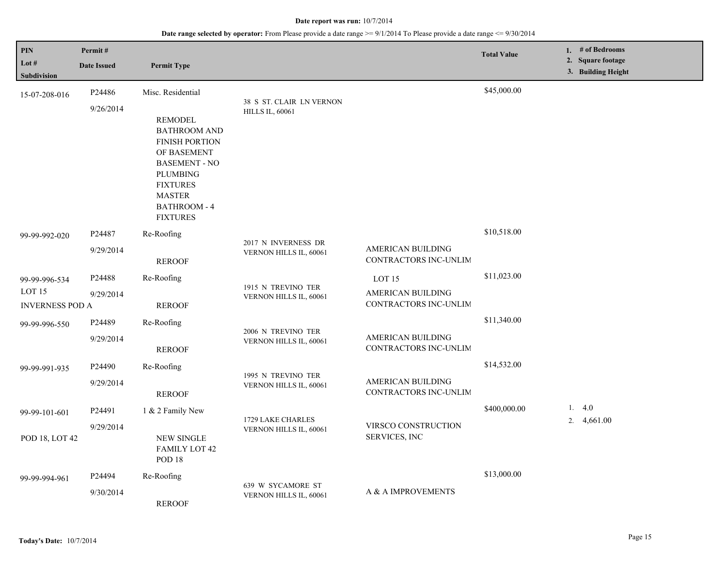| <b>PIN</b><br>Lot $#$<br>Subdivision                         | Permit#<br><b>Date Issued</b>   | <b>Permit Type</b>                                                                                                                                                                                                   |                                                    |                                                                        | <b>Total Value</b> | 1. # of Bedrooms<br>2. Square footage<br>3. Building Height |
|--------------------------------------------------------------|---------------------------------|----------------------------------------------------------------------------------------------------------------------------------------------------------------------------------------------------------------------|----------------------------------------------------|------------------------------------------------------------------------|--------------------|-------------------------------------------------------------|
| 15-07-208-016                                                | P24486<br>9/26/2014             | Misc. Residential<br><b>REMODEL</b><br><b>BATHROOM AND</b><br><b>FINISH PORTION</b><br>OF BASEMENT<br><b>BASEMENT - NO</b><br><b>PLUMBING</b><br><b>FIXTURES</b><br><b>MASTER</b><br>BATHROOM - 4<br><b>FIXTURES</b> | 38 S ST. CLAIR LN VERNON<br><b>HILLS IL, 60061</b> |                                                                        | \$45,000.00        |                                                             |
| 99-99-992-020                                                | P24487<br>9/29/2014             | Re-Roofing<br><b>REROOF</b>                                                                                                                                                                                          | 2017 N INVERNESS DR<br>VERNON HILLS IL, 60061      | AMERICAN BUILDING<br>CONTRACTORS INC-UNLIM                             | \$10,518.00        |                                                             |
| 99-99-996-534<br>LOT <sub>15</sub><br><b>INVERNESS POD A</b> | P24488<br>9/29/2014             | Re-Roofing<br><b>REROOF</b>                                                                                                                                                                                          | 1915 N TREVINO TER<br>VERNON HILLS IL, 60061       | LOT <sub>15</sub><br><b>AMERICAN BUILDING</b><br>CONTRACTORS INC-UNLIM | \$11,023.00        |                                                             |
| 99-99-996-550                                                | P24489<br>9/29/2014             | Re-Roofing<br><b>REROOF</b>                                                                                                                                                                                          | 2006 N TREVINO TER<br>VERNON HILLS IL, 60061       | AMERICAN BUILDING<br>CONTRACTORS INC-UNLIM                             | \$11,340.00        |                                                             |
| 99-99-991-935                                                | P <sub>24490</sub><br>9/29/2014 | Re-Roofing<br><b>REROOF</b>                                                                                                                                                                                          | 1995 N TREVINO TER<br>VERNON HILLS IL, 60061       | AMERICAN BUILDING<br>CONTRACTORS INC-UNLIM                             | \$14,532.00        |                                                             |
| 99-99-101-601<br>POD 18, LOT 42                              | P24491<br>9/29/2014             | 1 & 2 Family New<br><b>NEW SINGLE</b><br><b>FAMILY LOT 42</b><br>POD <sub>18</sub>                                                                                                                                   | 1729 LAKE CHARLES<br>VERNON HILLS IL, 60061        | VIRSCO CONSTRUCTION<br>SERVICES, INC                                   | \$400,000.00       | 1. $4.0$<br>2. $4,661.00$                                   |
| 99-99-994-961                                                | P24494<br>9/30/2014             | Re-Roofing<br><b>REROOF</b>                                                                                                                                                                                          | 639 W SYCAMORE ST<br>VERNON HILLS IL, 60061        | A & A IMPROVEMENTS                                                     | \$13,000.00        |                                                             |